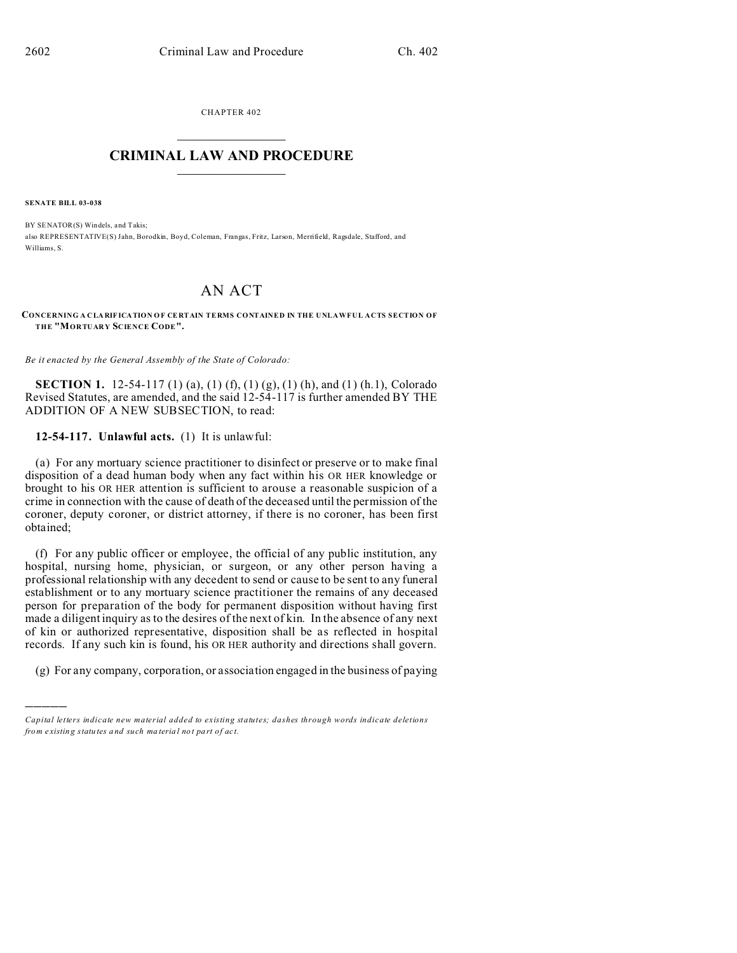CHAPTER 402  $\overline{\phantom{a}}$  , where  $\overline{\phantom{a}}$ 

## **CRIMINAL LAW AND PROCEDURE**  $\_$   $\_$   $\_$   $\_$   $\_$   $\_$   $\_$   $\_$   $\_$

**SENATE BILL 03-038**

)))))

BY SENATOR(S) Windels, and Takis; also REPRESENTATIVE(S) Jahn, Borodkin, Boyd, Coleman, Frangas, Fritz, Larson, Merrifield, Ragsdale, Stafford, and Williams, S.

## AN ACT

**CONCERNING A CLA RIF ICATION O F CE RTAIN TERMS CONTAINED IN THE UNLAWFUL ACTS SECTION OF THE "MORTUARY SCIENCE CODE".**

*Be it enacted by the General Assembly of the State of Colorado:*

**SECTION 1.** 12-54-117 (1) (a), (1) (f), (1) (g), (1) (h), and (1) (h.1), Colorado Revised Statutes, are amended, and the said 12-54-117 is further amended BY THE ADDITION OF A NEW SUBSECTION, to read:

**12-54-117. Unlawful acts.** (1) It is unlawful:

(a) For any mortuary science practitioner to disinfect or preserve or to make final disposition of a dead human body when any fact within his OR HER knowledge or brought to his OR HER attention is sufficient to arouse a reasonable suspicion of a crime in connection with the cause of death of the deceased until the permission of the coroner, deputy coroner, or district attorney, if there is no coroner, has been first obtained;

(f) For any public officer or employee, the official of any public institution, any hospital, nursing home, physician, or surgeon, or any other person having a professional relationship with any decedent to send or cause to be sent to any funeral establishment or to any mortuary science practitioner the remains of any deceased person for preparation of the body for permanent disposition without having first made a diligent inquiry as to the desires of the next of kin. In the absence of any next of kin or authorized representative, disposition shall be as reflected in hospital records. If any such kin is found, his OR HER authority and directions shall govern.

(g) For any company, corporation, or association engaged in the business of paying

*Capital letters indicate new material added to existing statutes; dashes through words indicate deletions from e xistin g statu tes a nd such ma teria l no t pa rt of ac t.*